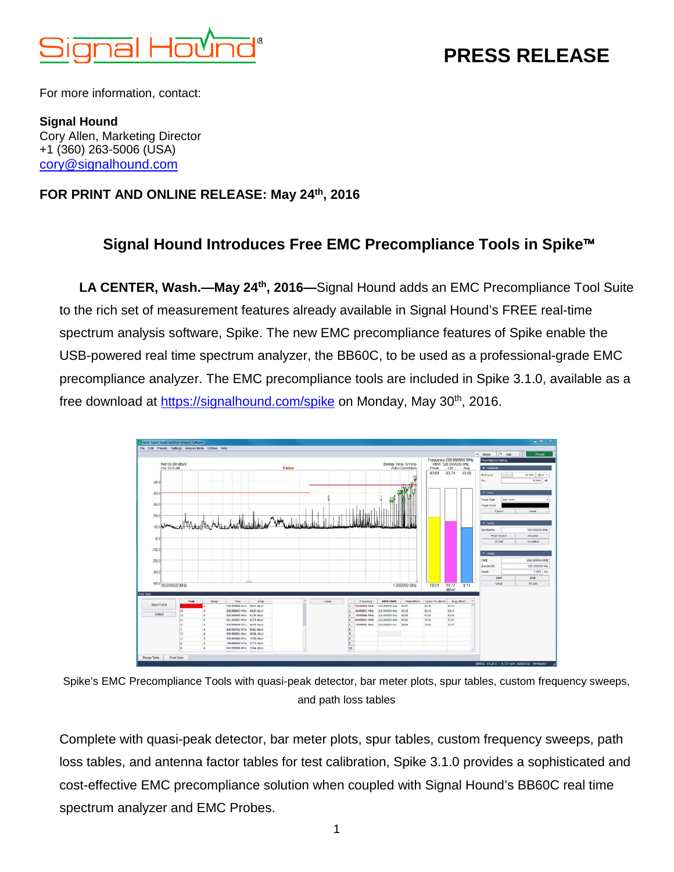

# **PRESS RELEASE**

For more information, contact:

**Signal Hound** Cory Allen, Marketing Director +1 (360) 263-5006 (USA) [cory@signalhound.com](mailto:cory@signalhound.com)

#### **FOR PRINT AND ONLINE RELEASE: May 24th, 2016**

## **Signal Hound Introduces Free EMC Precompliance Tools in Spike**™

**LA CENTER, Wash.—May 24th, 2016—**Signal Hound adds an EMC Precompliance Tool Suite to the rich set of measurement features already available in Signal Hound's FREE real-time spectrum analysis software, Spike. The new EMC precompliance features of Spike enable the USB-powered real time spectrum analyzer, the BB60C, to be used as a professional-grade EMC precompliance analyzer. The EMC precompliance tools are included in Spike 3.1.0, available as a free download at<https://signalhound.com/spike> on Monday, May 30th, 2016.



Spike's EMC Precompliance Tools with quasi-peak detector, bar meter plots, spur tables, custom frequency sweeps, and path loss tables

Complete with quasi-peak detector, bar meter plots, spur tables, custom frequency sweeps, path loss tables, and antenna factor tables for test calibration, Spike 3.1.0 provides a sophisticated and cost-effective EMC precompliance solution when coupled with Signal Hound's BB60C real time spectrum analyzer and EMC Probes.